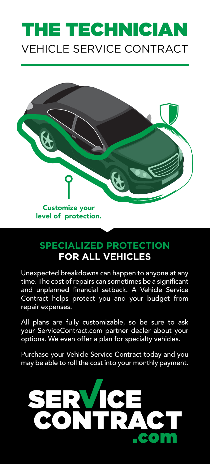# VEHICLE SERVICE CONTRACT THE TECHNICIAN



level of protection.

## **SPECIALIZED PROTECTION FOR ALL VEHICLES**

Unexpected breakdowns can happen to anyone at any time. The cost of repairs can sometimes be a significant and unplanned financial setback. A Vehicle Service Contract helps protect you and your budget from repair expenses.

All plans are fully customizable, so be sure to ask your ServiceContract.com partner dealer about your options. We even offer a plan for specialty vehicles.

Purchase your Vehicle Service Contract today and you may be able to roll the cost into your monthly payment.